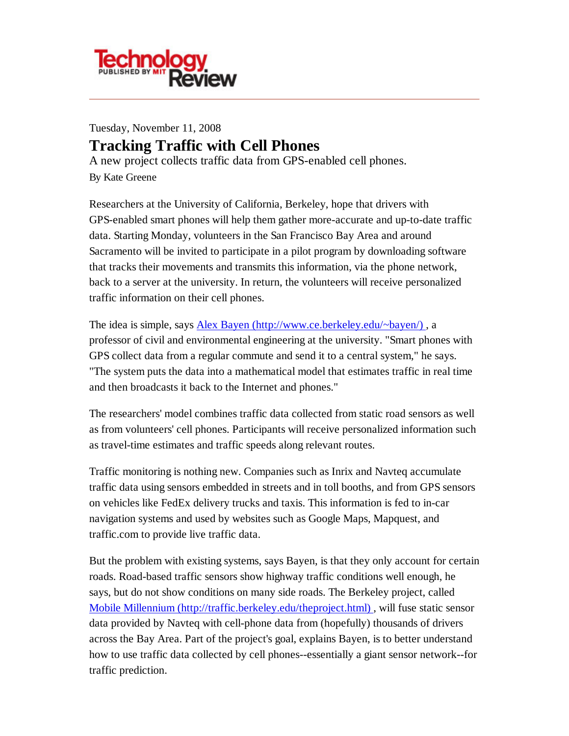

# Tuesday, November 11, 2008 **Tracking Traffic with Cell Phones** A new project collects traffic data from GPS-enabled cell phones.

By Kate Greene

Researchers at the University of California, Berkeley, hope that drivers with GPS-enabled smart phones will help them gather more-accurate and up-to-date traffic data. Starting Monday, volunteers in the San Francisco Bay Area and around Sacramento will be invited to participate in a pilot program by downloading software that tracks their movements and transmits this information, via the phone network, back to a server at the university. In return, the volunteers will receive personalized traffic information on their cell phones.

The idea is simple, says Alex Bayen (http://www.ce.berkeley.edu/~bayen/) , a professor of civil and environmental engineering at the university. "Smart phones with GPS collect data from a regular commute and send it to a central system," he says. "The system puts the data into a mathematical model that estimates traffic in real time and then broadcasts it back to the Internet and phones."

The researchers' model combines traffic data collected from static road sensors as well as from volunteers' cell phones. Participants will receive personalized information such as travel-time estimates and traffic speeds along relevant routes.

Traffic monitoring is nothing new. Companies such as Inrix and Navteq accumulate traffic data using sensors embedded in streets and in toll booths, and from GPS sensors on vehicles like FedEx delivery trucks and taxis. This information is fed to in-car navigation systems and used by websites such as Google Maps, Mapquest, and traffic.com to provide live traffic data.

But the problem with existing systems, says Bayen, is that they only account for certain roads. Road-based traffic sensors show highway traffic conditions well enough, he says, but do not show conditions on many side roads. The Berkeley project, called Mobile Millennium (http://traffic.berkeley.edu/theproject.html) , will fuse static sensor data provided by Navteq with cell-phone data from (hopefully) thousands of drivers across the Bay Area. Part of the project's goal, explains Bayen, is to better understand how to use traffic data collected by cell phones--essentially a giant sensor network--for traffic prediction.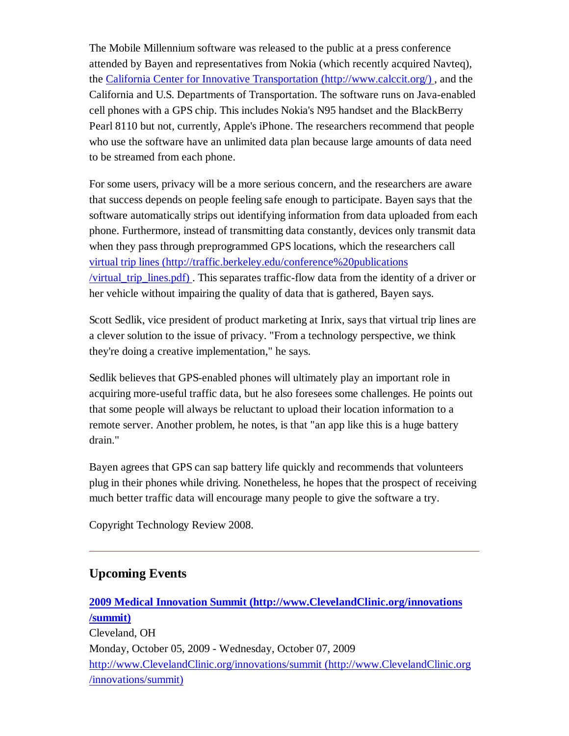The Mobile Millennium software was released to the public at a press conference attended by Bayen and representatives from Nokia (which recently acquired Navteq), the California Center for Innovative Transportation (http://www.calccit.org/) , and the California and U.S. Departments of Transportation. The software runs on Java-enabled cell phones with a GPS chip. This includes Nokia's N95 handset and the BlackBerry Pearl 8110 but not, currently, Apple's iPhone. The researchers recommend that people who use the software have an unlimited data plan because large amounts of data need to be streamed from each phone.

For some users, privacy will be a more serious concern, and the researchers are aware that success depends on people feeling safe enough to participate. Bayen says that the software automatically strips out identifying information from data uploaded from each phone. Furthermore, instead of transmitting data constantly, devices only transmit data when they pass through preprogrammed GPS locations, which the researchers call virtual trip lines (http://traffic.berkeley.edu/conference%20publications /virtual\_trip\_lines.pdf) . This separates traffic-flow data from the identity of a driver or her vehicle without impairing the quality of data that is gathered, Bayen says.

Scott Sedlik, vice president of product marketing at Inrix, says that virtual trip lines are a clever solution to the issue of privacy. "From a technology perspective, we think they're doing a creative implementation," he says.

Sedlik believes that GPS-enabled phones will ultimately play an important role in acquiring more-useful traffic data, but he also foresees some challenges. He points out that some people will always be reluctant to upload their location information to a remote server. Another problem, he notes, is that "an app like this is a huge battery drain."

Bayen agrees that GPS can sap battery life quickly and recommends that volunteers plug in their phones while driving. Nonetheless, he hopes that the prospect of receiving much better traffic data will encourage many people to give the software a try.

Copyright Technology Review 2008.

# **Upcoming Events**

**2009 Medical Innovation Summit (http://www.ClevelandClinic.org/innovations /summit)** Cleveland, OH Monday, October 05, 2009 - Wednesday, October 07, 2009 http://www.ClevelandClinic.org/innovations/summit (http://www.ClevelandClinic.org /innovations/summit)